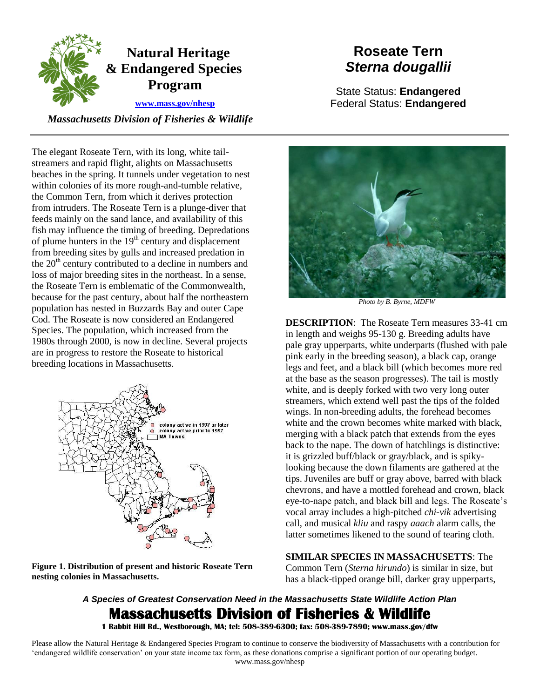

## **[www.mass.gov/nhesp](http://www.mass.gov/eea/agencies/dfg/dfw/natural-heritage/)**

 *Massachusetts Division of Fisheries & Wildlife* 

## within colonies of its more rough-and-tumble relative, loss of major breeding sites in the northeast. In a sense, The elegant Roseate Tern, with its long, white tailstreamers and rapid flight, alights on Massachusetts beaches in the spring. It tunnels under vegetation to nest the Common Tern, from which it derives protection from intruders. The Roseate Tern is a plunge-diver that feeds mainly on the sand lance, and availability of this fish may influence the timing of breeding. Depredations of plume hunters in the  $19<sup>th</sup>$  century and displacement from breeding sites by gulls and increased predation in the  $20<sup>th</sup>$  century contributed to a decline in numbers and the Roseate Tern is emblematic of the Commonwealth, because for the past century, about half the northeastern population has nested in Buzzards Bay and outer Cape Cod. The Roseate is now considered an Endangered Species. The population, which increased from the 1980s through 2000, is now in decline. Several projects are in progress to restore the Roseate to historical breeding locations in Massachusetts.



 **nesting colonies in Massachusetts. Figure 1. Distribution of present and historic Roseate Tern** 

# **Roseate Tern**  *Sterna dougallii*

State Status: **Endangered**  Federal Status: **Endangered** 



*Photo by B. Byrne, MDFW* 

**DESCRIPTION**: The Roseate Tern measures 33-41 cm in length and weighs 95-130 g. Breeding adults have pale gray upperparts, white underparts (flushed with pale pink early in the breeding season), a black cap, orange legs and feet, and a black bill (which becomes more red at the base as the season progresses). The tail is mostly white, and is deeply forked with two very long outer streamers, which extend well past the tips of the folded wings. In non-breeding adults, the forehead becomes white and the crown becomes white marked with black. merging with a black patch that extends from the eyes back to the nape. The down of hatchlings is distinctive: it is grizzled buff/black or gray/black, and is spikylooking because the down filaments are gathered at the tips. Juveniles are buff or gray above, barred with black chevrons, and have a mottled forehead and crown, black eye-to-nape patch, and black bill and legs. The Roseate's vocal array includes a high-pitched *chi-vik* advertising call, and musical *kliu* and raspy *aaach* alarm calls, the latter sometimes likened to the sound of tearing cloth.

## **SIMILAR SPECIES IN MASSACHUSETTS**: The Common Tern (*Sterna hirundo*) is similar in size, but has a black-tipped orange bill, darker gray upperparts,

## *A Species of Greatest Conservation Need in the Massachusetts State Wildlife Action Plan*  **Massachusetts Division of Fisheries & Wildlife**

 **1 Rabbit Hill Rd., Westborough, MA; tel: 508-389-6300; fax: 508-389-7890; www.mass.gov/dfw**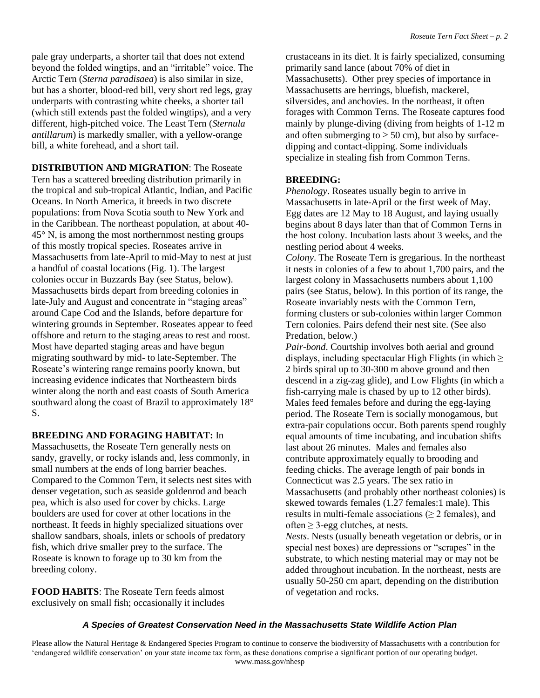pale gray underparts, a shorter tail that does not extend underparts with contrasting white cheeks, a shorter tail beyond the folded wingtips, and an "irritable" voice. The Arctic Tern (*Sterna paradisaea*) is also similar in size, but has a shorter, blood-red bill, very short red legs, gray (which still extends past the folded wingtips), and a very different, high-pitched voice. The Least Tern (*Sternula antillarum*) is markedly smaller, with a yellow-orange bill, a white forehead, and a short tail.

 Massachusetts from late-April to mid-May to nest at just **DISTRIBUTION AND MIGRATION**: The Roseate Tern has a scattered breeding distribution primarily in the tropical and sub-tropical Atlantic, Indian, and Pacific Oceans. In North America, it breeds in two discrete populations: from Nova Scotia south to New York and in the Caribbean. The northeast population, at about 40 45° N, is among the most northernmost nesting groups of this mostly tropical species. Roseates arrive in a handful of coastal locations (Fig. 1). The largest colonies occur in Buzzards Bay (see Status, below). Massachusetts birds depart from breeding colonies in late-July and August and concentrate in "staging areas" around Cape Cod and the Islands, before departure for wintering grounds in September. Roseates appear to feed offshore and return to the staging areas to rest and roost. Most have departed staging areas and have begun migrating southward by mid- to late-September. The Roseate's wintering range remains poorly known, but increasing evidence indicates that Northeastern birds winter along the north and east coasts of South America southward along the coast of Brazil to approximately 18° S.

## **BREEDING AND FORAGING HABITAT:** In

 small numbers at the ends of long barrier beaches. Compared to the Common Tern, it selects nest sites with Massachusetts, the Roseate Tern generally nests on sandy, gravelly, or rocky islands and, less commonly, in denser vegetation, such as seaside goldenrod and beach pea, which is also used for cover by chicks. Large boulders are used for cover at other locations in the northeast. It feeds in highly specialized situations over shallow sandbars, shoals, inlets or schools of predatory fish, which drive smaller prey to the surface. The Roseate is known to forage up to 30 km from the breeding colony.

 **FOOD HABITS**: The Roseate Tern feeds almost exclusively on small fish; occasionally it includes

 Massachusetts). Other prey species of importance in mainly by plunge-diving (diving from heights of 1-12 m crustaceans in its diet. It is fairly specialized, consuming primarily sand lance (about 70% of diet in Massachusetts are herrings, bluefish, mackerel, silversides, and anchovies. In the northeast, it often forages with Common Terns. The Roseate captures food and often submerging to  $\geq$  50 cm), but also by surfacedipping and contact-dipping. Some individuals specialize in stealing fish from Common Terns.

## **BREEDING:**

*Phenology*. Roseates usually begin to arrive in Massachusetts in late-April or the first week of May. Egg dates are 12 May to 18 August, and laying usually begins about 8 days later than that of Common Terns in the host colony. Incubation lasts about 3 weeks, and the nestling period about 4 weeks.

 Predation, below.) *Colony*. The Roseate Tern is gregarious. In the northeast it nests in colonies of a few to about 1,700 pairs, and the largest colony in Massachusetts numbers about 1,100 pairs (see Status, below). In this portion of its range, the Roseate invariably nests with the Common Tern, forming clusters or sub-colonies within larger Common Tern colonies. Pairs defend their nest site. (See also

*Pair-bond*. Courtship involves both aerial and ground displays, including spectacular High Flights (in which  $\geq$ 2 birds spiral up to 30-300 m above ground and then descend in a zig-zag glide), and Low Flights (in which a fish-carrying male is chased by up to 12 other birds). Males feed females before and during the egg-laying period. The Roseate Tern is socially monogamous, but extra-pair copulations occur. Both parents spend roughly equal amounts of time incubating, and incubation shifts last about 26 minutes. Males and females also contribute approximately equally to brooding and feeding chicks. The average length of pair bonds in Connecticut was 2.5 years. The sex ratio in Massachusetts (and probably other northeast colonies) is skewed towards females (1.27 females:1 male). This results in multi-female associations ( $\geq 2$  females), and often  $\geq$  3-egg clutches, at nests.

*Nests*. Nests (usually beneath vegetation or debris, or in special nest boxes) are depressions or "scrapes" in the substrate, to which nesting material may or may not be added throughout incubation. In the northeast, nests are usually 50-250 cm apart, depending on the distribution of vegetation and rocks.

#### *A Species of Greatest Conservation Need in the Massachusetts State Wildlife Action Plan*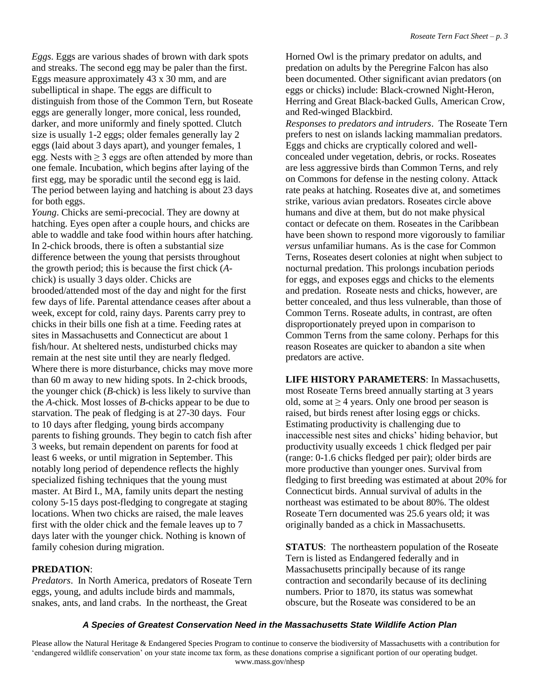eggs (laid about 3 days apart), and younger females, 1 The period between laying and hatching is about 23 days *Eggs*. Eggs are various shades of brown with dark spots and streaks. The second egg may be paler than the first. Eggs measure approximately 43 x 30 mm, and are subelliptical in shape. The eggs are difficult to distinguish from those of the Common Tern, but Roseate eggs are generally longer, more conical, less rounded, darker, and more uniformly and finely spotted. Clutch size is usually 1-2 eggs; older females generally lay 2 egg. Nests with  $\geq 3$  eggs are often attended by more than one female. Incubation, which begins after laying of the first egg, may be sporadic until the second egg is laid. for both eggs.

 few days of life. Parental attendance ceases after about a chicks in their bills one fish at a time. Feeding rates at than 60 m away to new hiding spots. In 2-chick broods, 3 weeks, but remain dependent on parents for food at *Young*. Chicks are semi-precocial. They are downy at hatching. Eyes open after a couple hours, and chicks are able to waddle and take food within hours after hatching. In 2-chick broods, there is often a substantial size difference between the young that persists throughout the growth period; this is because the first chick (*A*chick) is usually 3 days older. Chicks are brooded/attended most of the day and night for the first week, except for cold, rainy days. Parents carry prey to sites in Massachusetts and Connecticut are about 1 fish/hour. At sheltered nests, undisturbed chicks may remain at the nest site until they are nearly fledged. Where there is more disturbance, chicks may move more the younger chick (*B*-chick) is less likely to survive than the *A*-chick. Most losses of *B*-chicks appear to be due to starvation. The peak of fledging is at 27-30 days. Four to 10 days after fledging, young birds accompany parents to fishing grounds. They begin to catch fish after least 6 weeks, or until migration in September. This notably long period of dependence reflects the highly specialized fishing techniques that the young must master. At Bird I., MA, family units depart the nesting colony 5-15 days post-fledging to congregate at staging locations. When two chicks are raised, the male leaves first with the older chick and the female leaves up to 7 days later with the younger chick. Nothing is known of family cohesion during migration.

## **PREDATION**:

*Predators*. In North America, predators of Roseate Tern eggs, young, and adults include birds and mammals, snakes, ants, and land crabs. In the northeast, the Great

 and Red-winged Blackbird. Horned Owl is the primary predator on adults, and predation on adults by the Peregrine Falcon has also been documented. Other significant avian predators (on eggs or chicks) include: Black-crowned Night-Heron, Herring and Great Black-backed Gulls, American Crow,

 *Responses to predators and intruders*. The Roseate Tern prefers to nest on islands lacking mammalian predators. Eggs and chicks are cryptically colored and wellconcealed under vegetation, debris, or rocks. Roseates are less aggressive birds than Common Terns, and rely on Commons for defense in the nesting colony. Attack rate peaks at hatching. Roseates dive at, and sometimes strike, various avian predators. Roseates circle above humans and dive at them, but do not make physical contact or defecate on them. Roseates in the Caribbean have been shown to respond more vigorously to familiar *versus* unfamiliar humans. As is the case for Common Terns, Roseates desert colonies at night when subject to nocturnal predation. This prolongs incubation periods for eggs, and exposes eggs and chicks to the elements and predation. Roseate nests and chicks, however, are better concealed, and thus less vulnerable, than those of Common Terns. Roseate adults, in contrast, are often disproportionately preyed upon in comparison to Common Terns from the same colony. Perhaps for this reason Roseates are quicker to abandon a site when predators are active.

 **LIFE HISTORY PARAMETERS**: In Massachusetts, productivity usually exceeds 1 chick fledged per pair Connecticut birds. Annual survival of adults in the Roseate Tern documented was 25.6 years old; it was most Roseate Terns breed annually starting at 3 years old, some at  $\geq$  4 years. Only one brood per season is raised, but birds renest after losing eggs or chicks. Estimating productivity is challenging due to inaccessible nest sites and chicks' hiding behavior, but (range: 0-1.6 chicks fledged per pair); older birds are more productive than younger ones. Survival from fledging to first breeding was estimated at about 20% for northeast was estimated to be about 80%. The oldest originally banded as a chick in Massachusetts.

**STATUS:** The northeastern population of the Roseate Tern is listed as Endangered federally and in Massachusetts principally because of its range contraction and secondarily because of its declining numbers. Prior to 1870, its status was somewhat obscure, but the Roseate was considered to be an

#### *A Species of Greatest Conservation Need in the Massachusetts State Wildlife Action Plan*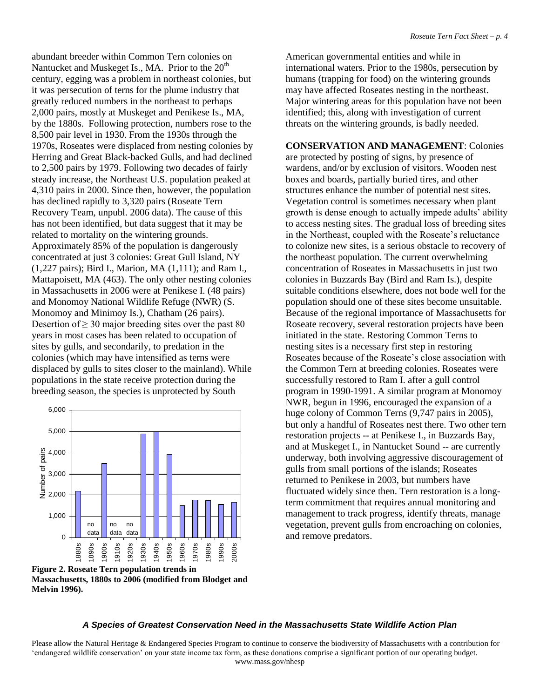*Roseate Tern Fact Sheet – p. 4* 

 8,500 pair level in 1930. From the 1930s through the to 2,500 pairs by 1979. Following two decades of fairly concentrated at just 3 colonies: Great Gull Island, NY abundant breeder within Common Tern colonies on Nantucket and Muskeget Is., MA. Prior to the  $20<sup>th</sup>$ century, egging was a problem in northeast colonies, but it was persecution of terns for the plume industry that greatly reduced numbers in the northeast to perhaps 2,000 pairs, mostly at Muskeget and Penikese Is., MA, by the 1880s. Following protection, numbers rose to the 1970s, Roseates were displaced from nesting colonies by Herring and Great Black-backed Gulls, and had declined steady increase, the Northeast U.S. population peaked at 4,310 pairs in 2000. Since then, however, the population has declined rapidly to 3,320 pairs (Roseate Tern Recovery Team, unpubl. 2006 data). The cause of this has not been identified, but data suggest that it may be related to mortality on the wintering grounds. Approximately 85% of the population is dangerously (1,227 pairs); Bird I., Marion, MA (1,111); and Ram I., Mattapoisett, MA (463). The only other nesting colonies in Massachusetts in 2006 were at Penikese I. (48 pairs) and Monomoy National Wildlife Refuge (NWR) (S. Monomoy and Minimoy Is.), Chatham (26 pairs). Desertion of  $\geq$  30 major breeding sites over the past 80 years in most cases has been related to occupation of sites by gulls, and secondarily, to predation in the colonies (which may have intensified as terns were displaced by gulls to sites closer to the mainland). While populations in the state receive protection during the breeding season, the species is unprotected by South



 **Massachusetts, 1880s to 2006 (modified from Blodget and Figure 2. Roseate Tern population trends in** 

**Melvin 1996).** 

 humans (trapping for food) on the wintering grounds American governmental entities and while in international waters. Prior to the 1980s, persecution by may have affected Roseates nesting in the northeast. Major wintering areas for this population have not been identified; this, along with investigation of current threats on the wintering grounds, is badly needed.

 concentration of Roseates in Massachusetts in just two suitable conditions elsewhere, does not bode well for the population should one of these sites become unsuitable. Because of the regional importance of Massachusetts for successfully restored to Ram I. after a gull control **CONSERVATION AND MANAGEMENT**: Colonies are protected by posting of signs, by presence of wardens, and/or by exclusion of visitors. Wooden nest boxes and boards, partially buried tires, and other structures enhance the number of potential nest sites. Vegetation control is sometimes necessary when plant growth is dense enough to actually impede adults' ability to access nesting sites. The gradual loss of breeding sites in the Northeast, coupled with the Roseate's reluctance to colonize new sites, is a serious obstacle to recovery of the northeast population. The current overwhelming colonies in Buzzards Bay (Bird and Ram Is.), despite Roseate recovery, several restoration projects have been initiated in the state. Restoring Common Terns to nesting sites is a necessary first step in restoring Roseates because of the Roseate's close association with the Common Tern at breeding colonies. Roseates were program in 1990-1991. A similar program at Monomoy NWR, begun in 1996, encouraged the expansion of a huge colony of Common Terns (9,747 pairs in 2005), but only a handful of Roseates nest there. Two other tern restoration projects -- at Penikese I., in Buzzards Bay, and at Muskeget I., in Nantucket Sound -- are currently underway, both involving aggressive discouragement of gulls from small portions of the islands; Roseates returned to Penikese in 2003, but numbers have fluctuated widely since then. Tern restoration is a longterm commitment that requires annual monitoring and management to track progress, identify threats, manage vegetation, prevent gulls from encroaching on colonies, and remove predators.

## *A Species of Greatest Conservation Need in the Massachusetts State Wildlife Action Plan*